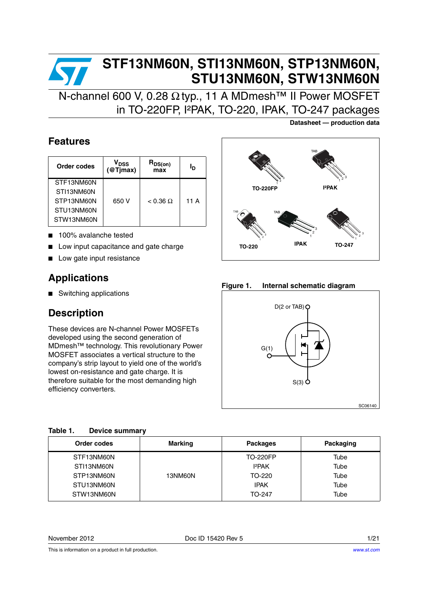# **STF13NM60N, STI13NM60N, STP13NM60N, STU13NM60N, STW13NM60N**

N-channel 600 V, 0.28 Ω typ., 11 A MDmesh™ II Power MOSFET in TO-220FP, I²PAK, TO-220, IPAK, TO-247 packages

### **Features**

| Order codes | V <sub>DSS</sub><br>@T <sub>l</sub> max) | $R_{DS(on)}$<br>max | Ιŋ   |
|-------------|------------------------------------------|---------------------|------|
| STF13NM60N  |                                          |                     |      |
| STI13NM60N  |                                          |                     |      |
| STP13NM60N  | 650 V                                    | $< 0.36 \Omega$     | 11 A |
| STU13NM60N  |                                          |                     |      |
| STW13NM60N  |                                          |                     |      |

- 100% avalanche tested
- Low input capacitance and gate charge
- Low gate input resistance

### **Applications**

■ Switching applications

### **Description**

These devices are N-channel Power MOSFETs developed using the second generation of MDmesh™ technology. This revolutionary Power MOSFET associates a vertical structure to the company's strip layout to yield one of the world's lowest on-resistance and gate charge. It is therefore suitable for the most demanding high efficiency converters.

| Table 1. | <b>Device summary</b> |
|----------|-----------------------|
|          |                       |

| Order codes | <b>Marking</b> | <b>Packages</b>           | Packaging |
|-------------|----------------|---------------------------|-----------|
| STF13NM60N  |                | <b>TO-220FP</b>           | Tube      |
| STI13NM60N  |                | <b>I</b> <sup>2</sup> PAK | Tube      |
| STP13NM60N  | 13NM60N        | TO-220                    | Tube      |
| STU13NM60N  |                | <b>IPAK</b>               | Tube      |
| STW13NM60N  |                | TO-247                    | Tube      |

**Datasheet — production data**



**Figure 1. Internal schematic diagram**



This is information on a product in full production.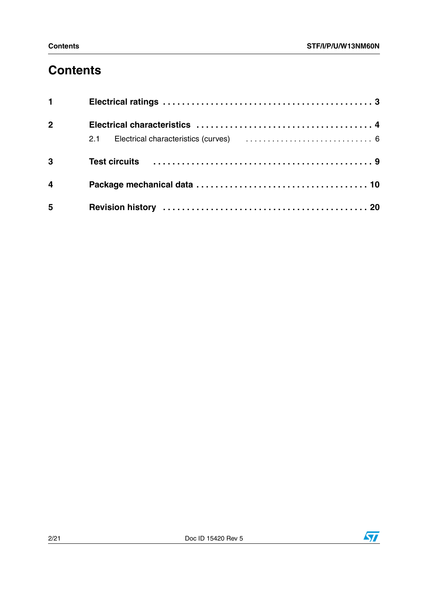## **Contents**

| $1 \quad \blacksquare$  |  |
|-------------------------|--|
| $\overline{2}$          |  |
|                         |  |
| $\overline{3}$          |  |
| $\overline{\mathbf{4}}$ |  |
| 5                       |  |

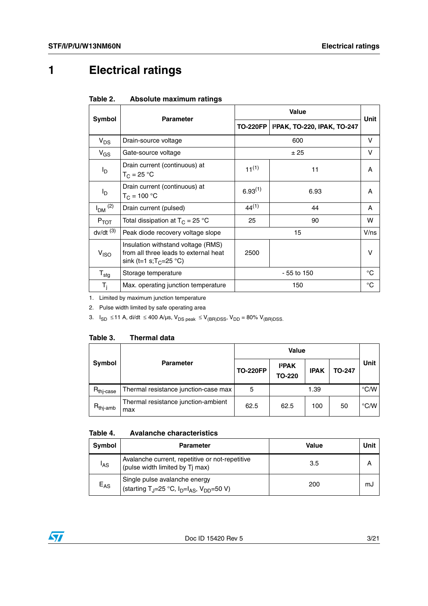# <span id="page-2-0"></span>**1 Electrical ratings**

|                         | <b>Parameter</b>                                                                                                  | Value           |                             |             |  |
|-------------------------|-------------------------------------------------------------------------------------------------------------------|-----------------|-----------------------------|-------------|--|
| Symbol                  |                                                                                                                   | <b>TO-220FP</b> | 12PAK, TO-220, IPAK, TO-247 | <b>Unit</b> |  |
| $V_{DS}$                | Drain-source voltage                                                                                              |                 | 600                         | v           |  |
| $V_{GS}$                | Gate-source voltage                                                                                               |                 | ±25                         | v           |  |
| I <sub>D</sub>          | Drain current (continuous) at<br>$T_C = 25 °C$                                                                    | $11^{(1)}$      | 11                          | A           |  |
| l <sub>D</sub>          | Drain current (continuous) at<br>$T_C = 100 °C$                                                                   | $6.93^{(1)}$    | 6.93                        | A           |  |
| $I_{DM}$ <sup>(2)</sup> | Drain current (pulsed)                                                                                            | $44^{(1)}$      | 44                          | A           |  |
| $P_{TOT}$               | Total dissipation at $T_C = 25$ °C                                                                                | 25              | 90                          | w           |  |
| $dv/dt$ <sup>(3)</sup>  | Peak diode recovery voltage slope                                                                                 |                 | 15                          | V/ns        |  |
| V <sub>ISO</sub>        | Insulation withstand voltage (RMS)<br>from all three leads to external heat<br>sink (t=1 s;T <sub>C</sub> =25 °C) | 2500            |                             | v           |  |
| $T_{\text{stg}}$        | Storage temperature                                                                                               | $-55$ to 150    |                             | °C          |  |
| $T_i$                   | Max. operating junction temperature                                                                               |                 | 150                         | °C          |  |

1. Limited by maximum junction temperature

2. Pulse width limited by safe operating area

3.  $I_{SD}$  ≤11 A, di/dt ≤ 400 A/µs,  $V_{DS}$  peak ≤  $V_{(BR)DSS}$ ,  $V_{DD}$  = 80%  $V_{(BR)DSS}$ .

#### Table 3. **Thermal data**

|                       |                                            | <b>Value</b>    |                        |             |               |               |
|-----------------------|--------------------------------------------|-----------------|------------------------|-------------|---------------|---------------|
| <b>Symbol</b>         | <b>Parameter</b>                           | <b>TO-220FP</b> | 12PAK<br><b>TO-220</b> | <b>IPAK</b> | <b>TO-247</b> | Unit          |
| $R_{\text{thi-case}}$ | Thermal resistance junction-case max       | 5               |                        | 1.39        |               | $\degree$ C/W |
| $R_{\text{thi-amb}}$  | Thermal resistance junction-ambient<br>max | 62.5            | 62.5                   | 100         | 50            | $\degree$ C/W |

#### Table 4. **Table 4. Avalanche characteristics**

| Symbol          | <b>Parameter</b>                                                                                | Value | Unit |
|-----------------|-------------------------------------------------------------------------------------------------|-------|------|
| <sup>I</sup> AS | Avalanche current, repetitive or not-repetitive<br>(pulse width limited by Tj max)              | 3.5   |      |
| $E_{AS}$        | Single pulse avalanche energy<br>(starting T <sub>J</sub> =25 °C, $I_D=I_{AS}$ , $V_{DD}=50$ V) | 200   | mJ   |

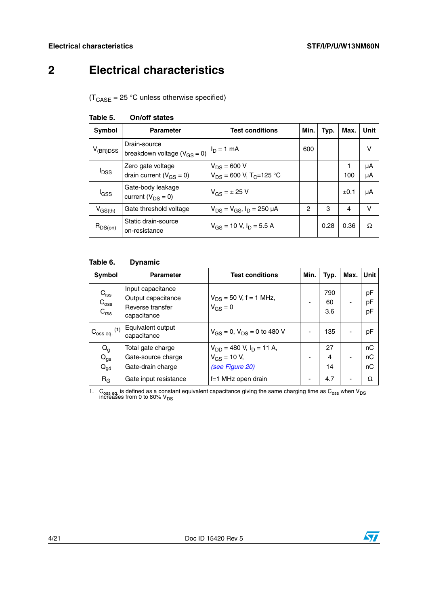## <span id="page-3-0"></span>**2 Electrical characteristics**

 $(T_{\text{CASE}} = 25 \text{ °C}$  unless otherwise specified)

| Symbol                  | <b>Parameter</b>                                    | <b>Test conditions</b>                                       | Min. | Typ. | Max.      | Unit     |
|-------------------------|-----------------------------------------------------|--------------------------------------------------------------|------|------|-----------|----------|
| $V_{(BR)DSS}$           | Drain-source<br>breakdown voltage ( $V_{GS} = 0$ )  | $I_D = 1 mA$                                                 | 600  |      |           | v        |
| <b>I</b> <sub>DSS</sub> | Zero gate voltage<br>drain current ( $V_{GS} = 0$ ) | $V_{DS}$ = 600 V<br>$V_{DS}$ = 600 V, T <sub>C</sub> =125 °C |      |      | 100       | μA<br>μA |
| l <sub>GSS</sub>        | Gate-body leakage<br>current $(V_{DS} = 0)$         | $V_{GS} = \pm 25$ V                                          |      |      | $\pm 0.1$ | μA       |
| $V_{\rm GS(th)}$        | Gate threshold voltage                              | $V_{DS} = V_{GS}$ , $I_D = 250 \mu A$                        | 2    | 3    | 4         | v        |
| $R_{DS(on)}$            | Static drain-source<br>on-resistance                | $V_{GS}$ = 10 V, $I_D$ = 5.5 A                               |      | 0.28 | 0.36      | Ω        |

### **Table 5. On/off states**

### **Table 6. Dynamic**

| <b>Symbol</b>                                  | <b>Parameter</b>                                                           | <b>Test conditions</b>                                                          | Min. | Typ.             | Max. | Unit           |
|------------------------------------------------|----------------------------------------------------------------------------|---------------------------------------------------------------------------------|------|------------------|------|----------------|
| $C_{iss}$<br>$C_{\rm oss}$<br>C <sub>rss</sub> | Input capacitance<br>Output capacitance<br>Reverse transfer<br>capacitance | $V_{DS}$ = 50 V, f = 1 MHz,<br>$V_{GS}$ = 0                                     |      | 790<br>60<br>3.6 | ۰    | pF<br>pF<br>pF |
| $C_{\rm 0ss\,eq.}$ (1)                         | Equivalent output<br>capacitance                                           | $V_{GS} = 0$ , $V_{DS} = 0$ to 480 V                                            |      | 135              |      | pF             |
| $Q_g$<br>$Q_{gs}$<br>$Q_{gd}$                  | Total gate charge<br>Gate-source charge<br>Gate-drain charge               | $V_{DD}$ = 480 V, I <sub>D</sub> = 11 A,<br>$V_{GS}$ = 10 V,<br>(see Figure 20) |      | 27<br>4<br>14    | ٠    | nC<br>пC<br>пC |
| $R_G$                                          | Gate input resistance                                                      | f=1 MHz open drain                                                              |      | 4.7              |      | Ω              |

1.  $\rm{C_{oss}}$  is defined as a constant equivalent capacitance giving the same charging time as  $\rm{C_{oss}}$  when V<sub>DS</sub> increases from 0 to 80% V<sub>DS</sub>

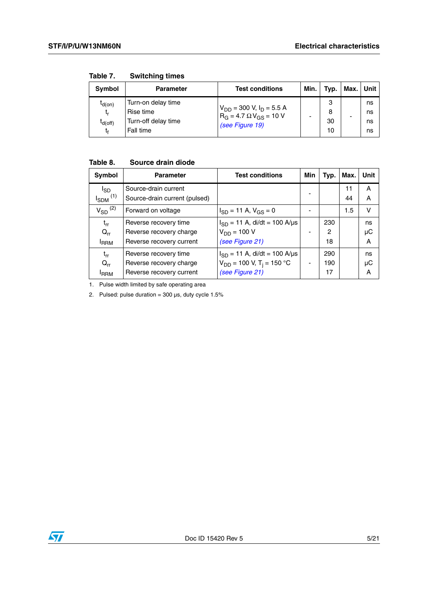| Symbol                            | <b>Parameter</b>                                                    | <b>Test conditions</b>                                                                          | Min. | Typ.               | Max. | Unit I               |
|-----------------------------------|---------------------------------------------------------------------|-------------------------------------------------------------------------------------------------|------|--------------------|------|----------------------|
| $I_{d(0n)}$<br>t,<br>$I_{d(Off)}$ | Turn-on delay time<br>Rise time<br>Turn-off delay time<br>Fall time | $V_{DD}$ = 300 V, I <sub>D</sub> = 5.5 A<br>$R_G = 4.7 \Omega V_{GS} = 10 V$<br>(see Figure 19) |      | 3<br>8<br>30<br>10 | -    | ns<br>ns<br>ns<br>ns |

**Table 7. Switching times**

### **Table 8. Source drain diode**

| Symbol                   | <b>Parameter</b>              | <b>Test conditions</b>                    | Min | Typ. | Max. | Unit   |
|--------------------------|-------------------------------|-------------------------------------------|-----|------|------|--------|
| $I_{SD}$                 | Source-drain current          |                                           |     |      | 11   | Α      |
| $I_{SDM}$ <sup>(1)</sup> | Source-drain current (pulsed) |                                           |     |      | 44   | A      |
| $V_{SD}$ <sup>(2)</sup>  | Forward on voltage            | $I_{SD}$ = 11 A, $V_{GS}$ = 0             |     |      | 1.5  | $\vee$ |
| $t_{rr}$                 | Reverse recovery time         | $I_{SD} = 11$ A, di/dt = 100 A/µs         |     | 230  |      | ns     |
| $Q_{rr}$                 | Reverse recovery charge       | $V_{DD} = 100 V$                          |     | 2    |      | μC     |
| <b>IRRM</b>              | Reverse recovery current      | (see Figure 21)                           |     | 18   |      | Α      |
| $t_{rr}$                 | Reverse recovery time         | $I_{SD}$ = 11 A, di/dt = 100 A/µs         |     | 290  |      | ns     |
| $Q_{rr}$                 | Reverse recovery charge       | $V_{DD}$ = 100 V, T <sub>i</sub> = 150 °C |     | 190  |      | μC     |
| <b>I</b> RRM             | Reverse recovery current      | (see Figure 21)                           |     | 17   |      | A      |

1. Pulse width limited by safe operating area

2. Pulsed: pulse duration =  $300 \,\mu s$ , duty cycle  $1.5\%$ 

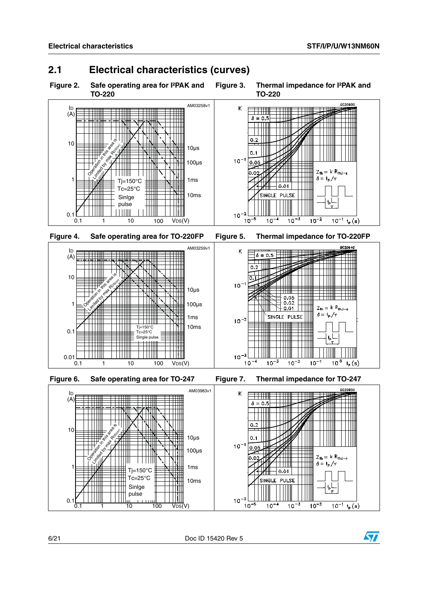<span id="page-5-0"></span>

<span id="page-5-1"></span>



6/21 Doc ID 15420 Rev 5

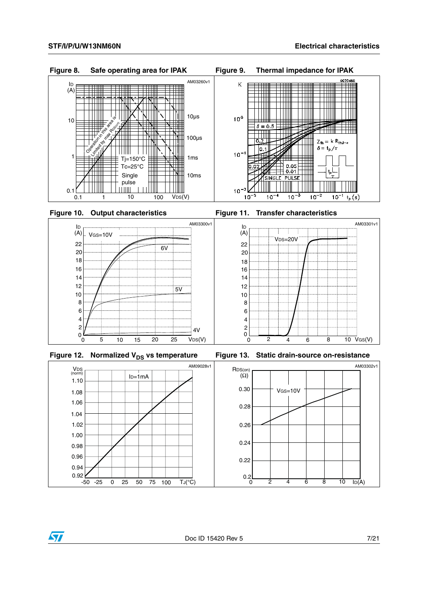

**Figure 10. Output characteristics Figure 11. Transfer characteristics**





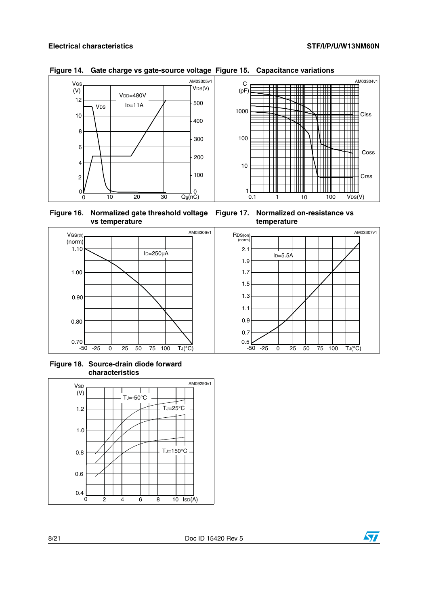Ħ

W T

**TIME** 

™

THE R

Ħ

TТ **TIM** 

 $\parallel$ Ciss

AM03304v1

Coss

Crss

AM03307v1



#### **Figure 14. Gate charge vs gate-source voltage Figure 15. Capacitance variations**



 $\overline{\phantom{0}}$ 

▓

 $\blacksquare$ 

 $\Box$ 

Ħ

┶ וווד TTTTT

1 10 100  $VDS(V)$ 

UIII

TH

- N III

 $100$ 

 $\overline{\phantom{0}}$ 

100



**Figure 18. Source-drain diode forward characteristics**

**vs temperature**



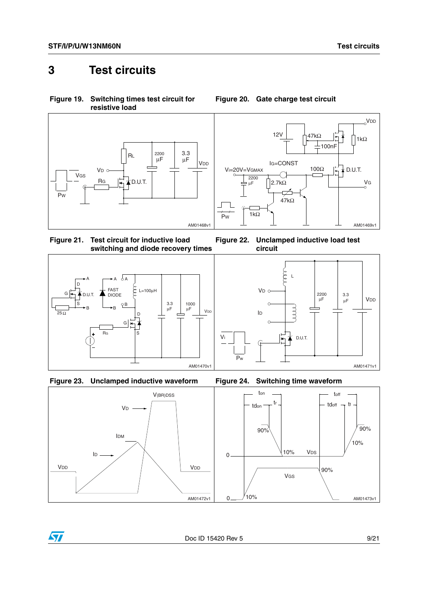### <span id="page-8-0"></span>**3 Test circuits**

<span id="page-8-2"></span>**Figure 19. Switching times test circuit for resistive load**





**Figure 22. Unclamped inductive load test** 

**circuit**

<span id="page-8-3"></span>**Figure 21. Test circuit for inductive load switching and diode recovery times**







Vi



<span id="page-8-1"></span>**Figure 20. Gate charge test circuit**

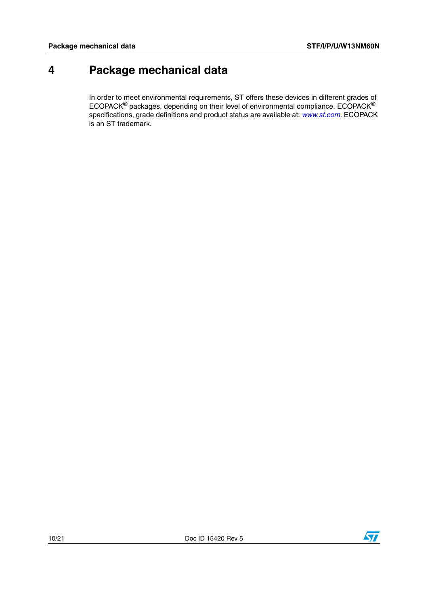## <span id="page-9-0"></span>**4 Package mechanical data**

In order to meet environmental requirements, ST offers these devices in different grades of ECOPACK® packages, depending on their level of environmental compliance. ECOPACK® specifications, grade definitions and product status are available at: *[www.st.com](http://www.st.com)*. ECOPACK is an ST trademark.

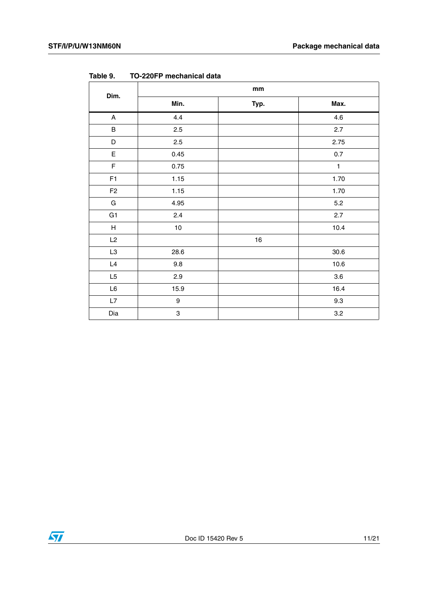| Dim.                      | mm                        |      |              |
|---------------------------|---------------------------|------|--------------|
|                           | Min.                      | Typ. | Max.         |
| A                         | 4.4                       |      | 4.6          |
| $\sf B$                   | 2.5                       |      | 2.7          |
| $\mathsf D$               | 2.5                       |      | 2.75         |
| $\mathsf E$               | 0.45                      |      | $0.7\,$      |
| $\mathsf F$               | 0.75                      |      | $\mathbf{1}$ |
| F1                        | 1.15                      |      | 1.70         |
| F <sub>2</sub>            | 1.15                      |      | 1.70         |
| ${\bf G}$                 | 4.95                      |      | 5.2          |
| G <sub>1</sub>            | 2.4                       |      | 2.7          |
| $\boldsymbol{\mathsf{H}}$ | $10$                      |      | 10.4         |
| L2                        |                           | $16$ |              |
| L3                        | 28.6                      |      | 30.6         |
| L4                        | 9.8                       |      | 10.6         |
| L5                        | 2.9                       |      | $3.6\,$      |
| $\mathsf{L}6$             | 15.9                      |      | 16.4         |
| L7                        | 9                         |      | 9.3          |
| Dia                       | $\ensuremath{\mathsf{3}}$ |      | 3.2          |

**Table 9. TO-220FP mechanical data**

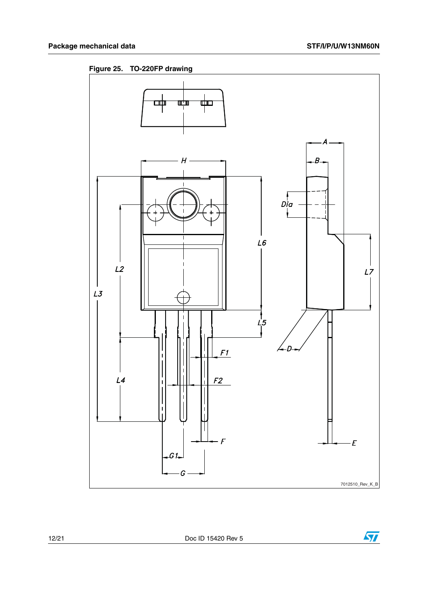**Figure 25. TO-220FP drawing**



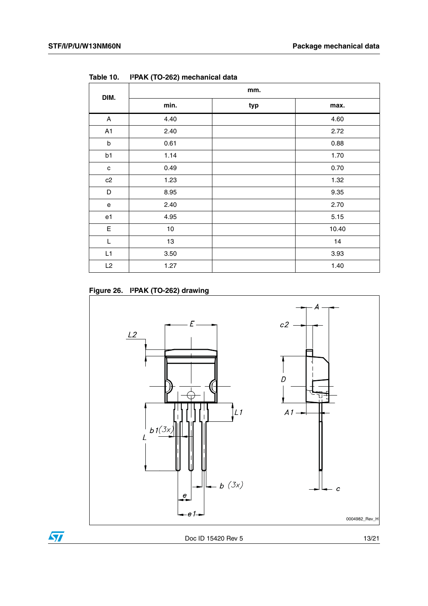| DIM.        | mm.  |     |       |  |
|-------------|------|-----|-------|--|
|             | min. | typ | max.  |  |
| A           | 4.40 |     | 4.60  |  |
| A1          | 2.40 |     | 2.72  |  |
| b           | 0.61 |     | 0.88  |  |
| b1          | 1.14 |     | 1.70  |  |
| c           | 0.49 |     | 0.70  |  |
| c2          | 1.23 |     | 1.32  |  |
| D           | 8.95 |     | 9.35  |  |
| e           | 2.40 |     | 2.70  |  |
| e1          | 4.95 |     | 5.15  |  |
| $\mathsf E$ | 10   |     | 10.40 |  |
| L           | 13   |     | 14    |  |
| L1          | 3.50 |     | 3.93  |  |
| L2          | 1.27 |     | 1.40  |  |

**Table 10. I²PAK (TO-262) mechanical data**





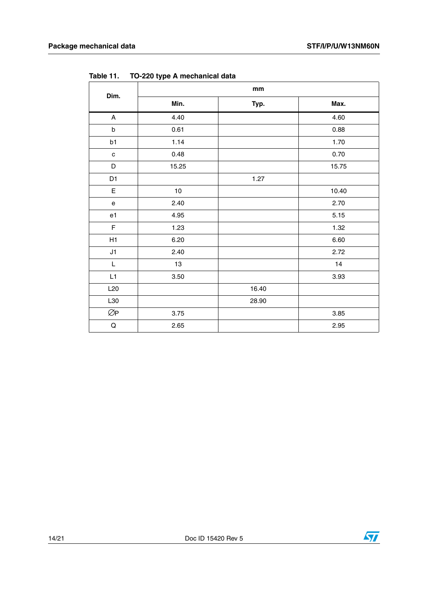| Dim.                                                                                                        | $\mathop{\text{mm}}\nolimits$ |       |       |
|-------------------------------------------------------------------------------------------------------------|-------------------------------|-------|-------|
|                                                                                                             | Min.                          | Typ.  | Max.  |
| $\boldsymbol{\mathsf{A}}$                                                                                   | 4.40                          |       | 4.60  |
| $\sf b$                                                                                                     | 0.61                          |       | 0.88  |
| b1                                                                                                          | 1.14                          |       | 1.70  |
| $\mathbf c$                                                                                                 | 0.48                          |       | 0.70  |
| $\mathsf D$                                                                                                 | 15.25                         |       | 15.75 |
| D <sub>1</sub>                                                                                              |                               | 1.27  |       |
| E                                                                                                           | $10$                          |       | 10.40 |
| e                                                                                                           | 2.40                          |       | 2.70  |
| e1                                                                                                          | 4.95                          |       | 5.15  |
| F                                                                                                           | 1.23                          |       | 1.32  |
| H1                                                                                                          | 6.20                          |       | 6.60  |
| J1                                                                                                          | 2.40                          |       | 2.72  |
| $\mathsf{L}% _{0}\left( \mathsf{L}_{0}\right) ^{\ast }=\mathsf{L}_{0}\left( \mathsf{L}_{0}\right) ^{\ast }$ | 13                            |       | 14    |
| L1                                                                                                          | 3.50                          |       | 3.93  |
| L20                                                                                                         |                               | 16.40 |       |
| L30                                                                                                         |                               | 28.90 |       |
| ØP                                                                                                          | 3.75                          |       | 3.85  |
| ${\sf Q}$                                                                                                   | 2.65                          |       | 2.95  |

**Table 11. TO-220 type A mechanical data**

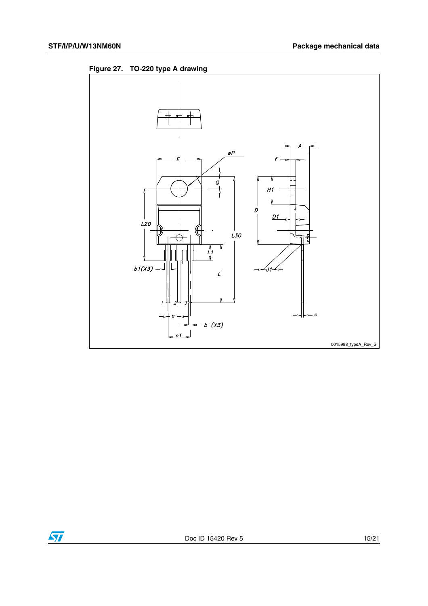



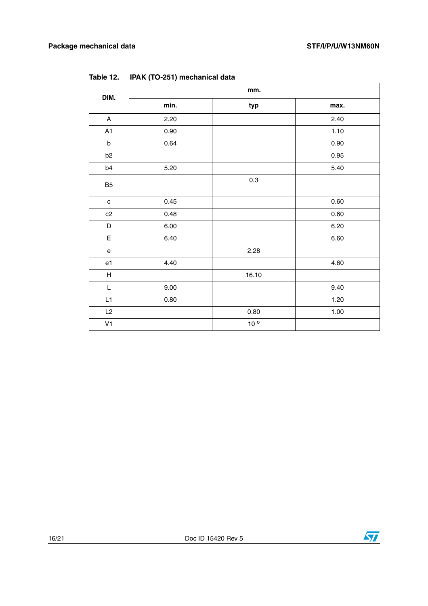| DIM.                                       | mm.  |                 |      |
|--------------------------------------------|------|-----------------|------|
|                                            | min. | typ             | max. |
| A                                          | 2.20 |                 | 2.40 |
| A1                                         | 0.90 |                 | 1.10 |
| $\sf b$                                    | 0.64 |                 | 0.90 |
| b <sub>2</sub>                             |      |                 | 0.95 |
| b4                                         | 5.20 |                 | 5.40 |
| B <sub>5</sub>                             |      | 0.3             |      |
| $\mathbf c$                                | 0.45 |                 | 0.60 |
| c2                                         | 0.48 |                 | 0.60 |
| D                                          | 6.00 |                 | 6.20 |
| $\mathsf E$                                | 6.40 |                 | 6.60 |
| $\mathsf{e}% _{0}\left( \mathsf{e}\right)$ |      | 2.28            |      |
| e1                                         | 4.40 |                 | 4.60 |
| H                                          |      | 16.10           |      |
| $\mathsf L$                                | 9.00 |                 | 9.40 |
| L1                                         | 0.80 |                 | 1.20 |
| L2                                         |      | 0.80            | 1.00 |
| V <sub>1</sub>                             |      | 10 <sup>o</sup> |      |

**Table 12. IPAK (TO-251) mechanical data**

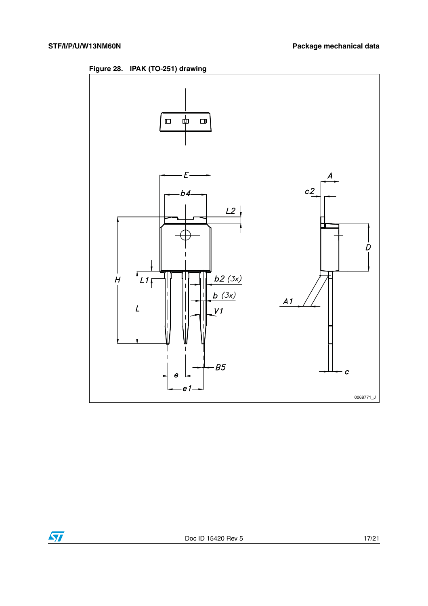



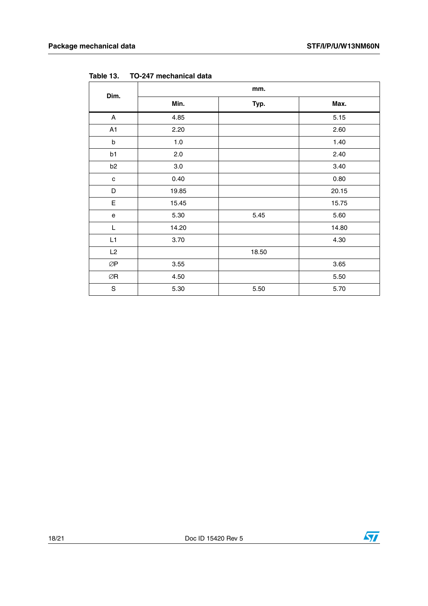| Dim.                                       | mm.     |       |       |
|--------------------------------------------|---------|-------|-------|
|                                            | Min.    | Typ.  | Max.  |
| A                                          | 4.85    |       | 5.15  |
| A1                                         | 2.20    |       | 2.60  |
| b                                          | 1.0     |       | 1.40  |
| b1                                         | 2.0     |       | 2.40  |
| b <sub>2</sub>                             | $3.0\,$ |       | 3.40  |
| $\mathbf c$                                | 0.40    |       | 0.80  |
| $\mathsf D$                                | 19.85   |       | 20.15 |
| E                                          | 15.45   |       | 15.75 |
| $\mathsf{e}% _{0}\left( \mathsf{e}\right)$ | 5.30    | 5.45  | 5.60  |
| L                                          | 14.20   |       | 14.80 |
| L1                                         | 3.70    |       | 4.30  |
| L2                                         |         | 18.50 |       |
| $\oslash\!\operatorname{\mathsf{P}}$       | 3.55    |       | 3.65  |
| ØR                                         | 4.50    |       | 5.50  |
| $\mathbf S$                                | 5.30    | 5.50  | 5.70  |

**Table 13. TO-247 mechanical data**

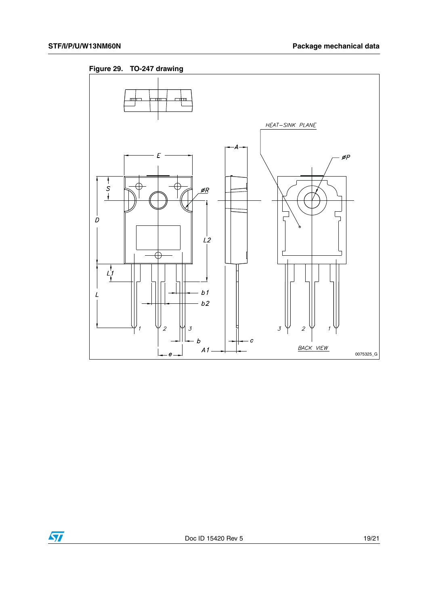

**Figure 29. TO-247 drawing**

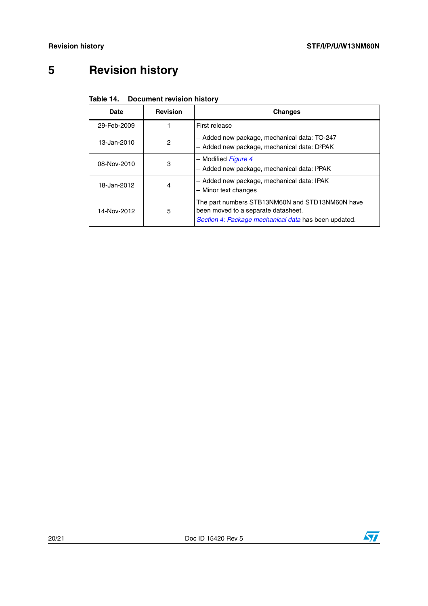# <span id="page-19-0"></span>**5 Revision history**

| Table 14. | <b>Document revision history</b> |
|-----------|----------------------------------|
|-----------|----------------------------------|

| Date        | <b>Revision</b> | <b>Changes</b>                                                                                                                                 |
|-------------|-----------------|------------------------------------------------------------------------------------------------------------------------------------------------|
| 29-Feb-2009 |                 | First release                                                                                                                                  |
| 13-Jan-2010 | $\overline{c}$  | - Added new package, mechanical data: TO-247<br>- Added new package, mechanical data: D <sup>2</sup> PAK                                       |
| 08-Nov-2010 | 3               | - Modified Figure 4<br>- Added new package, mechanical data: I <sup>2</sup> PAK                                                                |
| 18-Jan-2012 | 4               | - Added new package, mechanical data: IPAK<br>- Minor text changes                                                                             |
| 14-Nov-2012 | 5               | The part numbers STB13NM60N and STD13NM60N have<br>been moved to a separate datasheet.<br>Section 4: Package mechanical data has been updated. |